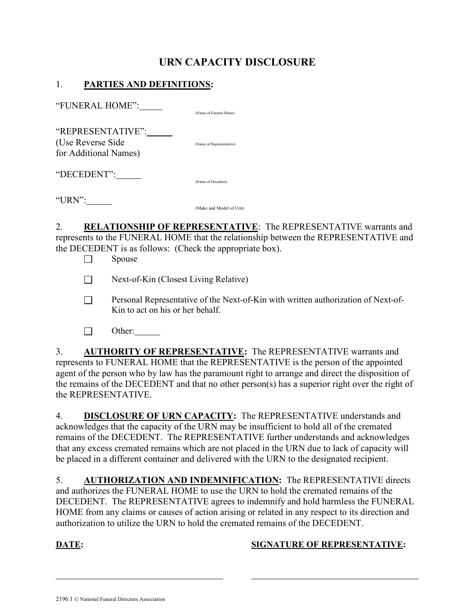# URN CAPACITY DISCLOSURE

### 1. PARTIES AND DEFINITIONS:

"FUNERAL HOME": (Name of Funeral Home)

"REPRESENTATIVE": (Use Reverse Side (Name of Representative) for Additional Names)

"DECEDENT":

"URN":

(Make and Model of Urn)

(Name of Decedent)

2. RELATIONSHIP OF REPRESENTATIVE: The REPRESENTATIVE warrants and represents to the FUNERAL HOME that the relationship between the REPRESENTATIVE and the DECEDENT is as follows: (Check the appropriate box).

 $\Box$  Spouse

Next-of-Kin (Closest Living Relative)

- Personal Representative of the Next-of-Kin with written authorization of Next-of- Kin to act on his or her behalf.
- $\Box$  Other:

3. AUTHORITY OF REPRESENTATIVE: The REPRESENTATIVE warrants and represents to FUNERAL HOME that the REPRESENTATIVE is the person of the appointed agent of the person who by law has the paramount right to arrange and direct the disposition of the remains of the DECEDENT and that no other person(s) has a superior right over the right of the REPRESENTATIVE.

4. DISCLOSURE OF URN CAPACITY: The REPRESENTATIVE understands and acknowledges that the capacity of the URN may be insufficient to hold all of the cremated remains of the DECEDENT. The REPRESENTATIVE further understands and acknowledges that any excess cremated remains which are not placed in the URN due to lack of capacity will be placed in a different container and delivered with the URN to the designated recipient.

5. AUTHORIZATION AND INDEMNIFICATION: The REPRESENTATIVE directs and authorizes the FUNERAL HOME to use the URN to hold the cremated remains of the DECEDENT. The REPRESENTATIVE agrees to indemnify and hold harmless the FUNERAL HOME from any claims or causes of action arising or related in any respect to its direction and authorization to utilize the URN to hold the cremated remains of the DECEDENT.

l

### DATE: SIGNATURE OF REPRESENTATIVE: